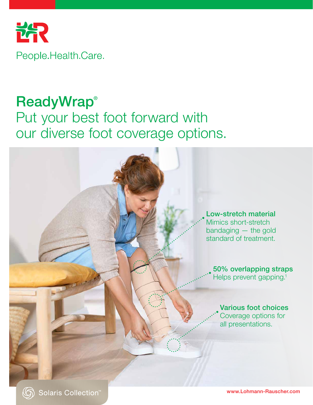

## **ReadyWrap®** Put your best foot forward with our diverse foot coverage options.



 $\circledcirc$ 

www.Lohmann-Rauscher.com